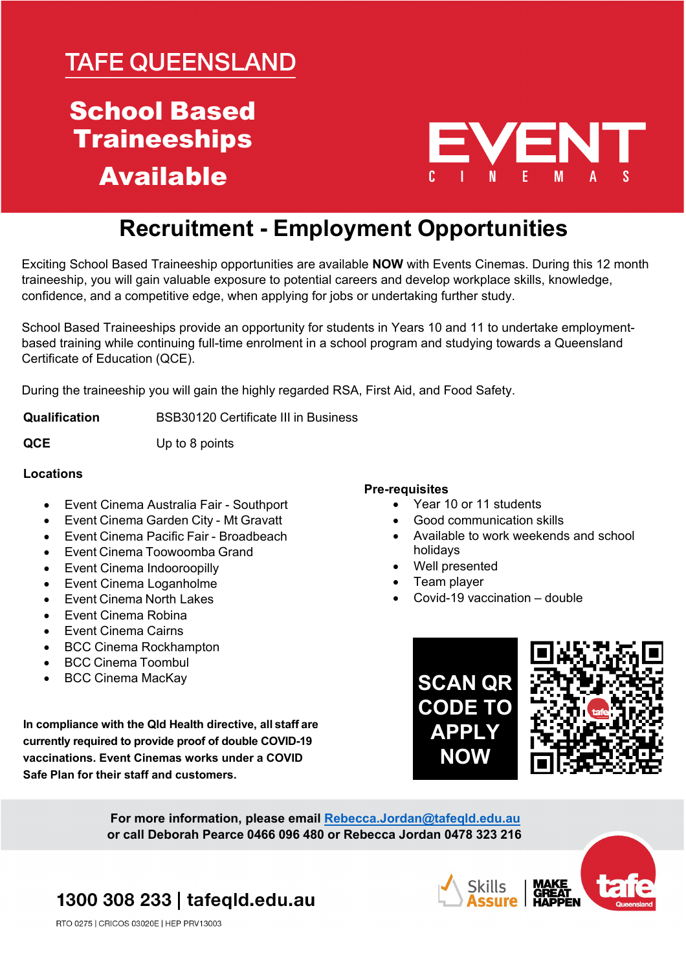## **TAFE QUEENSLAND**

## School Based **Traineeships** Available



### **Recruitment - Employment Opportunities**

Exciting School Based Traineeship opportunities are available **NOW** with Events Cinemas. During this 12 month traineeship, you will gain valuable exposure to potential careers and develop workplace skills, knowledge, confidence, and a competitive edge, when applying for jobs or undertaking further study.

School Based Traineeships provide an opportunity for students in Years 10 and 11 to undertake employmentbased training while continuing full-time enrolment in a school program and studying towards a Queensland Certificate of Education (QCE).

During the traineeship you will gain the highly regarded RSA, First Aid, and Food Safety.

**Qualification** BSB30120 Certificate III in Business

**QCE** Up to 8 points

#### **Locations**

- Event Cinema Australia Fair Southport
- Event Cinema Garden City Mt Gravatt
- Event Cinema Pacific Fair Broadbeach
- Event Cinema Toowoomba Grand
- Event Cinema Indooroopilly
- Event Cinema Loganholme
- Event Cinema North Lakes
- Event Cinema Robina
- Event Cinema Cairns
- BCC Cinema Rockhampton
- BCC Cinema Toombul
- BCC Cinema MacKay

**In compliance with the Qld Health directive, all staff are currently required to provide proof of double COVID-19 vaccinations. Event Cinemas works under a COVID Safe Plan for their staff and customers.**

### **Pre-requisites**

- Year 10 or 11 students
- Good communication skills
- Available to work weekends and school holidays
- Well presented
- Team player
- Covid-19 vaccination double





**For more information, please email [Rebecca.Jordan@tafeqld.edu.au](mailto:Rebecca.Jordan@tafeqld.edu.au) or call Deborah Pearce 0466 096 480 or Rebecca Jordan 0478 323 216**

1300 308 233 | tafeqld.edu.au





RTO 0275 | CRICOS 03020E | HEP PRV13003